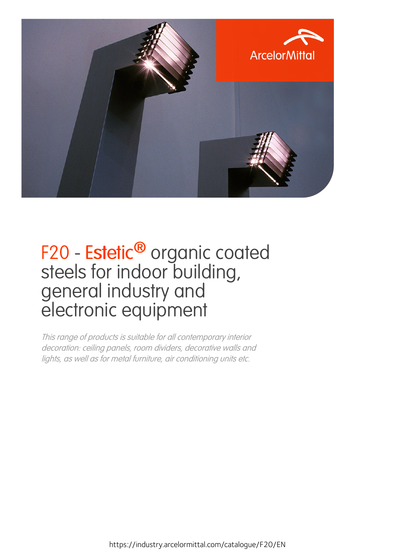

#### F20 - Estetic<sup>®</sup> organic coated steels for indoor building, general industry and electronic equipment

This range of products is suitable for all contemporary interior decoration: ceiling panels, room dividers, decorative walls and lights, as well as for metal furniture, air conditioning units etc.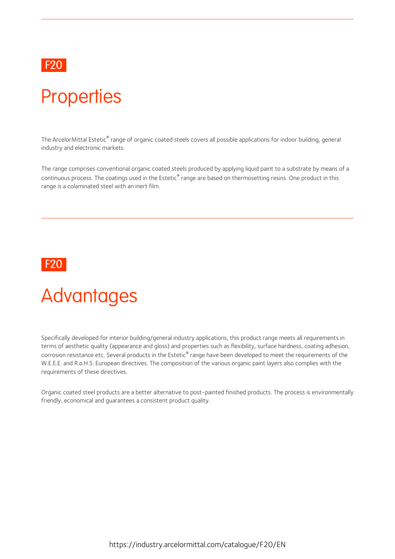#### F20 and the contract of the contract of the contract of the contract of the contract of the contract of the contract of the contract of the contract of the contract of the contract of the contract of the contract of the co

## **Properties**

The ArcelorMittal Estetic® range of organic coated steels covers all possible applications for indoor building, general industry and electronic markets.

The range comprises conventional organic coated steels produced by applying liquid paint to a substrate by means of a continuous process. The coatings used in the Estetic® range are based on thermosetting resins. One product in this range is a colaminated steel with an inert film.



#### **Advantages**

Specifically developed for interior building/general industry applications, this product range meets all requirements in terms of aesthetic quality (appearance and gloss) and properties such as flexibility, surface hardness, coating adhesion, corrosion resistance etc. Several products in the Estetic® range have been developed to meet the requirements of the W.E.E.E. and R.o.H.S. European directives. The composition of the various organic paint layers also complies with the requirements of these directives.

Organic coated steel products are abetteralternative to post-painted finished products.The process is environmentally friendly, economical and guarantees a consistent product quality.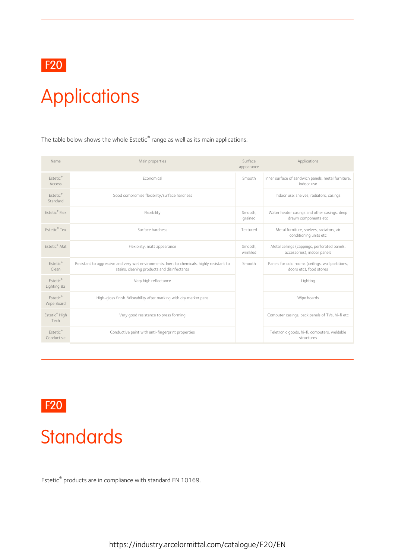

# Applications

The table below shows the whole Estetic $^\circ$  range as well as its main applications.

| Name                           | Main properties                                                                                                                           | Surface<br>appearance | Applications                                                                 |  |
|--------------------------------|-------------------------------------------------------------------------------------------------------------------------------------------|-----------------------|------------------------------------------------------------------------------|--|
| Fstetic®<br><b>Access</b>      | Fconomical                                                                                                                                | Smooth                | Inner surface of sandwich panels, metal furniture,<br>indoor use             |  |
| Estetic®<br>Standard           | Good compromise flexibility/surface hardness                                                                                              |                       | Indoor use: shelves, radiators, casings                                      |  |
| <b>Estetic®</b> Flex           | Flexibility                                                                                                                               | Smooth.<br>grained    | Water heater casings and other casings, deep<br>drawn components etc         |  |
| Estetic® Tex                   | Surface hardness                                                                                                                          | Textured              | Metal furniture, shelves, radiators, air<br>conditioning units etc           |  |
| Fstetic <sup>®</sup> Mat       | Flexibility, matt appearance                                                                                                              | Smooth,<br>wrinkled   | Metal ceilings (cappings, perforated panels,<br>accessories), indoor panels  |  |
| Estetic®<br>Clean              | Resistant to aggressive and very wet environments. Inert to chemicals, highly resistant to<br>stains, cleaning products and disinfectants | Smooth                | Panels for cold rooms (ceilings, wall partitions,<br>doors etc), food stores |  |
| <b>Estetic®</b><br>Lighting 82 | Very high reflectance                                                                                                                     |                       | Lighting                                                                     |  |
| Estetic®<br>Wipe Board         | High-gloss finish. Wipeability after marking with dry marker pens                                                                         |                       | Wipe boards                                                                  |  |
| Estetic® High<br>Tech          | Very good resistance to press forming                                                                                                     |                       | Computer casings, back panels of TVs, hi-fi etc                              |  |
| Estetic®<br>Conductive         | Conductive paint with anti-fingerprint properties                                                                                         |                       | Teletronic goods, hi-fi, computers, weldable<br>structures                   |  |

F20

#### **Standards**

Estetic ® products are in compliance with standard EN 10169.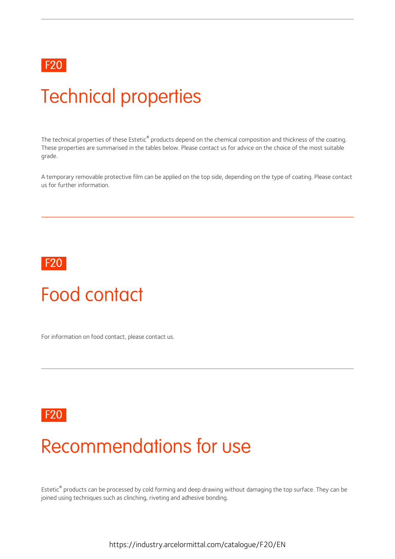

### Technical properties

The technical properties of these Estetic® products depend on the chemical composition and thickness of the coating. These properties are summarised in the tables below. Please contact us for advice on the choice of the most suitable grade.

A temporary removable protective film can be applied on the top side, depending on the type of coating. Please contact us for further information.



#### Food contact

For information on food contact, please contact us.



#### Recommendations for use

Estetic ® products can be processed by cold forming and deep drawing without damaging the top surface. They can be joined using techniques such as clinching, riveting and adhesive bonding.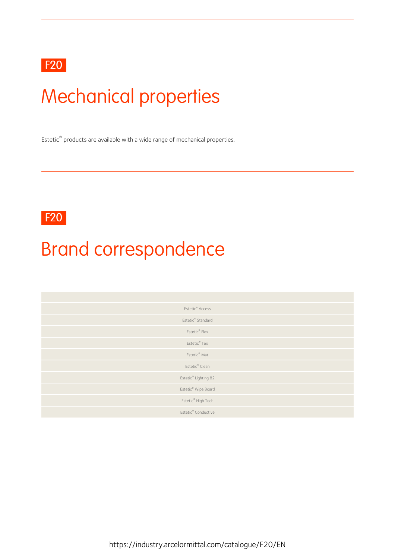#### F20

## Mechanical properties

Estetic ® products are available with a wide range of mechanical properties.

F20 and the state of the state of the state of the state of the state of the state of the state of the state of the state of the state of the state of the state of the state of the state of the state of the state of the st

## Brand correspondence

| Estetic <sup>®</sup> Access     |
|---------------------------------|
| Estetic® Standard               |
| Estetic® Flex                   |
| Estetic® Tex                    |
| Estetic <sup>®</sup> Mat        |
| Estetic <sup>®</sup> Clean      |
| Estetic® Lighting 82            |
| Estetic® Wipe Board             |
| Estetic® High Tech              |
| Estetic <sup>®</sup> Conductive |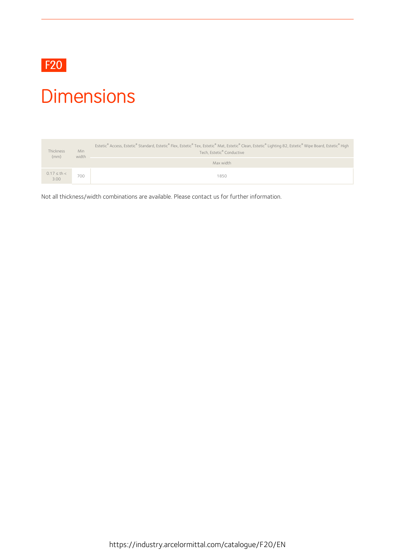

#### **Dimensions**

| Thickness<br>(mm)    | <b>Min</b><br>width | Estetic® Access, Estetic® Standard, Estetic® Flex, Estetic® Tex, Estetic® Mat, Estetic® Clean, Estetic® Lighting 82, Estetic® Wipe Board, Estetic® High<br>Tech, Estetic® Conductive |
|----------------------|---------------------|--------------------------------------------------------------------------------------------------------------------------------------------------------------------------------------|
|                      |                     | Max width                                                                                                                                                                            |
| $0.17 \le th < 3.00$ | 700                 | 1850                                                                                                                                                                                 |

Not all thickness/width combinations are available. Please contact us for further information.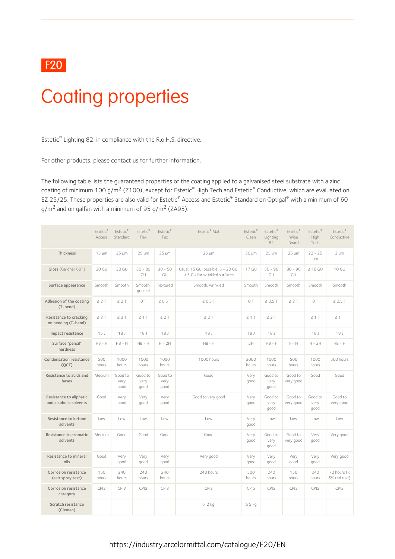#### F20 and the contract of the contract of the contract of the contract of the contract of the contract of the contract of the contract of the contract of the contract of the contract of the contract of the contract of the co

### Coating properties

Estetic ® Lighting 82: in compliance with the R.o.H.S. directive.

For other products, please contact us for further information.

The following table lists the guaranteed properties of the coating applied to a galvanised steel substrate with a zinc coating of minimum 100 g/m<sup>2</sup> (Z100), except for Estetic $^\circ$  High Tech and Estetic $^\circ$  Conductive, which are evaluated on EZ 25/25. These properties are also valid for Estetic ® Access and Estetic ® Standard on Optigal® with a minimum of 60  $q/m^2$  and on galfan with a minimum of 95  $q/m^2$  (ZA95).

|                                                   | Estetic®<br>Access | Estetic®<br>Standard    | Estetic®<br>Flex        | Estetic®<br>Tex         | Estetic <sup>®</sup> Mat                                           | Estetic®<br>Clean | Estetic®<br>Lighting<br>82 | Estetic®<br>Wipe<br>Board | Estetic <sup>®</sup><br><b>High</b><br>Tech | Estetic®<br>Conductive        |
|---------------------------------------------------|--------------------|-------------------------|-------------------------|-------------------------|--------------------------------------------------------------------|-------------------|----------------------------|---------------------------|---------------------------------------------|-------------------------------|
| Thickness                                         | $15 \mu m$         | $25 \mu m$              | $25 \mu m$              | 35 µm                   | $25 \mu m$                                                         | 50 µm             | $25 \mu m$                 | $25 \mu m$                | $22 - 25$<br>μm.                            | $3 \mu m$                     |
| Gloss (Gardner $60^{\circ}$ )                     | 30 GU              | 30 GU                   | $30 - 80$<br>GU         | $30 - 50$<br>GU         | Usual: 15 GU; possible: 5 - 20 GU;<br>< 5 GU for wrinkled surfaces | 17 GU             | $50 - 90$<br>GU            | $80 - 90$<br>GU           | $\leq 10$ GU                                | 10 GU                         |
| Surface appearance                                | Smooth             | Smooth                  | Smooth,<br>qrained      | Textured                | Smooth, wrinkled                                                   | Smooth            | Smooth                     | Smooth                    | Smooth                                      | Smooth                        |
| Adhesion of the coating<br>(T-bend)               | $\leq$ 2 T         | $\leq$ 2 T              | O T                     | $\leq$ 0.5 T            | $\leq$ 0.5 T                                                       | OT                | $\leq 0.5$ T               | $\leq 3$ T                | O T                                         | $\leq 0.5$ T                  |
| Resistance to cracking<br>on bending (T-bend)     | $\leq$ 3 T         | $\leq 3$ T              | $\leq$ 1 T              | $\leq$ 2 T              | $\leq 2$ T                                                         | $\leq 1$ T        | $\leq$ 2 T                 |                           | $\leq$ 1 T                                  | $\leq 1$ T                    |
| Impact resistance                                 | 15J                | 18J                     | 18J                     | 18 <sub>1</sub>         | 18J                                                                | 18 <sub>1</sub>   | 18 <sub>1</sub>            |                           | 18 <sub>1</sub>                             | 18J                           |
| Surface "pencil"<br>hardness                      | $HB - H$           | $HB - H$                | $HB - H$                | $H - 2H$                | $HB - F$                                                           | 2H                | $HB - F$                   | $F - H$                   | $H - 2H$                                    | $HB - H$                      |
| <b>Condensation resistance</b><br>(QCT)           | 500<br>hours       | 1000<br>hours           | 1000<br>hours           | 1000<br>hours           | 1000 hours                                                         | 2000<br>hours     | 1000<br>hours              | 500<br>hours              | 1000<br>hours                               | 500 hours                     |
| Resistance to acids and<br>bases                  | Medium             | Good to<br>very<br>qood | Good to<br>very<br>dood | Good to<br>very<br>good | Good                                                               | Very<br>qood      | Good to<br>very<br>good    | Good to<br>very good      | Good                                        | Good                          |
| Resistance to aliphatic<br>and alcoholic solvents | Good               | Very<br>qood            | Very<br>qood            | Very<br>qood            | Good to very good                                                  | Very<br>good      | Good to<br>very<br>qood    | Good to<br>very good      | Good to<br>very<br>qood                     | Good to<br>very good          |
| Resistance to ketone<br>solvents                  | Low                | Low                     | Low                     | Low                     | Low                                                                | Very<br>good      | Low                        | Low                       | Low                                         | Low                           |
| Resistance to aromatic<br>solvents                | Medium             | Good                    | Good                    | Good                    | Good                                                               | Very<br>good      | Good to<br>very<br>good    | Good to<br>very good      | Very<br>qood                                | Very good                     |
| Resistance to mineral<br>oils                     | Good               | Very<br>qood            | Very<br>qood            | Very<br>qood            | Very good                                                          | Very<br>qood      | Very<br>boop               | Very<br>qood              | Very<br>qood                                | Very good                     |
| Corrosion resistance<br>(salt spray test)         | 150<br>hours       | 240<br>hours            | 240<br>hours            | 240<br>hours            | 240 hours                                                          | 500<br>hours      | 240<br>hours               | 150<br>hours              | 240<br>hours                                | 72 hours $(<$<br>5% red rust) |
| Corrosion resistance<br>category                  | CPI <sub>2</sub>   | CPI3                    | CPI3                    | CPI3                    | CPI3                                                               | CPI5              | CPI3                       | CPI <sub>2</sub>          | CPI3                                        | CPI <sub>2</sub>              |
| Scratch resistance<br>(Clemen)                    |                    |                         |                         |                         | $> 2$ kg                                                           | $\geq$ 5 kg       |                            |                           |                                             |                               |